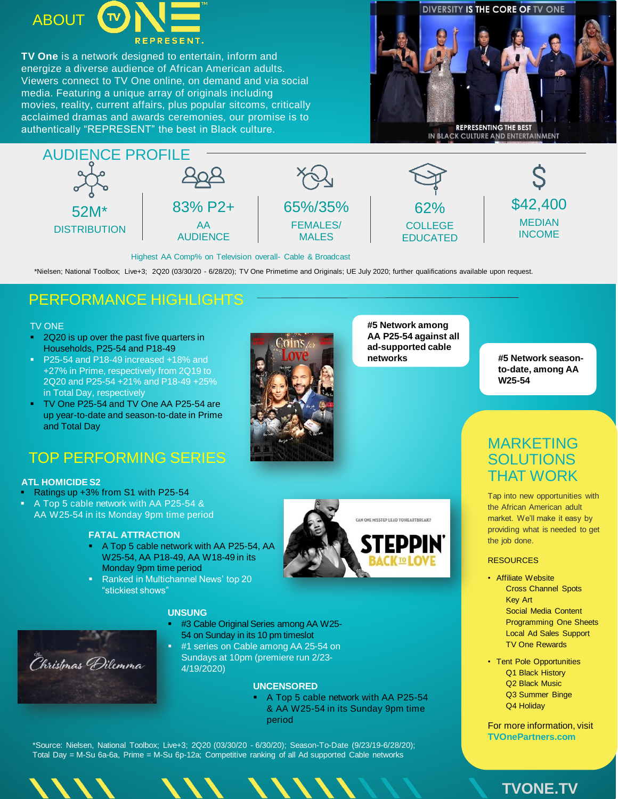

**TV One** is a network designed to entertain, inform and energize a diverse audience of African American adults. Viewers connect to TV One online, on demand and via social media. Featuring a unique array of originals including movies, reality, current affairs, plus popular sitcoms, critically acclaimed dramas and awards ceremonies, our promise is to authentically "REPRESENT" the best in Black culture.





Highest AA Comp% on Television overall- Cable & Broadcast

\*Nielsen; National Toolbox; Live+3; 2Q20 (03/30/20 - 6/28/20); TV One Primetime and Originals; UE July 2020; further qualifications available upon request.

## PERFORMANCE HIGHLIGHTS

### TV ONE

- <sup>2</sup> 2Q20 is up over the past five quarters in Households, P25-54 and P18-49
- P25-54 and P18-49 increased +18% and +27% in Prime, respectively from 2Q19 to 2Q20 and P25-54 +21% and P18-49 +25% in Total Day, respectively
- TV One P25-54 and TV One AA P25-54 are up year-to-date and season-to-date in Prime and Total Day

# TOP PERFORMING SERIES

### **ATL HOMICIDE S2**

- Ratings up +3% from S1 with P25-54
- A Top 5 cable network with AA P25-54 & AA W25-54 in its Monday 9pm time period

### **FATAL ATTRACTION**

- A Top 5 cable network with AA P25-54, AA W25-54, AA P18-49, AA W18-49 in its Monday 9pm time period
- Ranked in Multichannel News' top 20 "stickiest shows"



**#5 Network among AA P25-54 against all ad-supported cable networks**

**#5 Network seasonto-date, among AA W25-54**

CAN ONE MISSTEP LEAD TO HEARTBREAK?

## MARKETING **SOLUTIONS** THAT WORK

Tap into new opportunities with the African American adult market. We'll make it easy by providing what is needed to get the job done.

### **RESOURCES**

- Affiliate Website Cross Channel Spots Key Art Social Media Content Programming One Sheets Local Ad Sales Support TV One Rewards
- Tent Pole Opportunities Q1 Black History Q2 Black Music Q3 Summer Binge Q4 Holiday

For more information, visit **TVOnePartners.com**



### **UNSUNG**

- #3 Cable Original Series among AA W25- 54 on Sunday in its 10 pm timeslot
- #1 series on Cable among AA 25-54 on Sundays at 10pm (premiere run 2/23- 4/19/2020)

### **UNCENSORED**

 A Top 5 cable network with AA P25-54 & AA W25-54 in its Sunday 9pm time period

\*Source: Nielsen, National Toolbox; Live+3; 2Q20 (03/30/20 - 6/30/20); Season-To-Date (9/23/19-6/28/20); Total Day = M-Su 6a-6a, Prime = M-Su 6p-12a; Competitive ranking of all Ad supported Cable networks